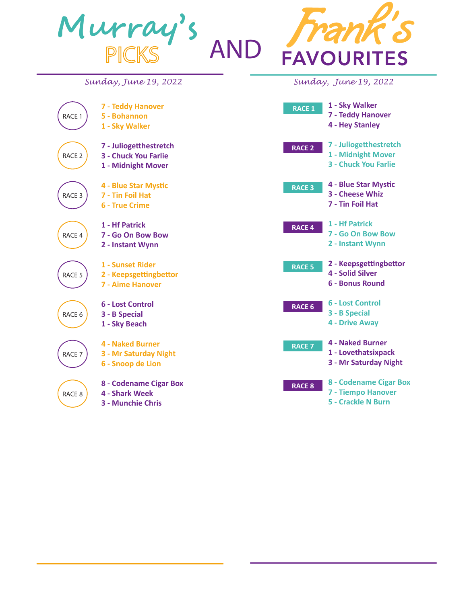

**4 - Two to Ten**

**8 - Appellate**